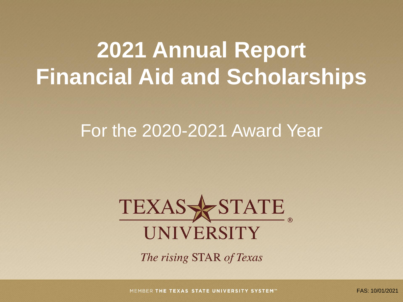# **2021 Annual Report Financial Aid and Scholarships**

# For the 2020-2021 Award Year



The rising STAR of Texas

MEMBER THE TEXAS STATE UNIVERSITY SYSTEM<sup>®</sup>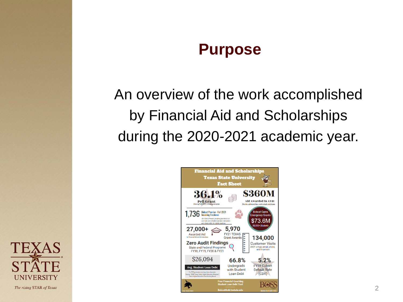### **Purpose**

An overview of the work accomplished by Financial Aid and Scholarships during the 2020-2021 academic year.



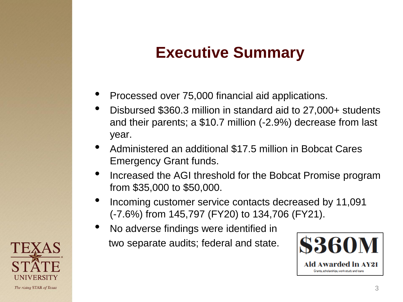# **Executive Summary**

- Processed over 75,000 financial aid applications.
- Disbursed \$360.3 million in standard aid to 27,000+ students and their parents; a \$10.7 million (-2.9%) decrease from last year.
- Administered an additional \$17.5 million in Bobcat Cares Emergency Grant funds.
- Increased the AGI threshold for the Bobcat Promise program from \$35,000 to \$50,000.
- Incoming customer service contacts decreased by 11,091 (-7.6%) from 145,797 (FY20) to 134,706 (FY21).
- No adverse findings were identified in two separate audits; federal and state.



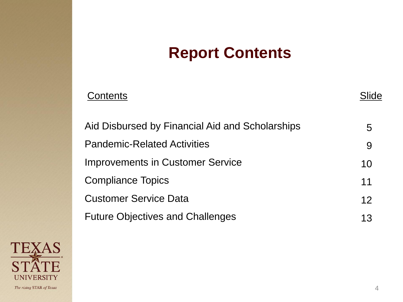# **Report Contents**

| Contents                                        | ide |
|-------------------------------------------------|-----|
| Aid Disbursed by Financial Aid and Scholarships | 5   |
| <b>Pandemic-Related Activities</b>              | 9   |
| <b>Improvements in Customer Service</b>         | 10  |
| <b>Compliance Topics</b>                        | 11  |
| <b>Customer Service Data</b>                    | 12  |
| <b>Future Objectives and Challenges</b>         | 13  |

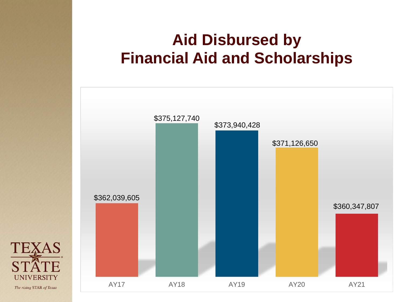# **Aid Disbursed by Financial Aid and Scholarships**



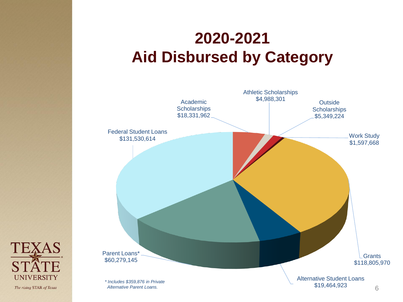# **2020-2021 Aid Disbursed by Category**



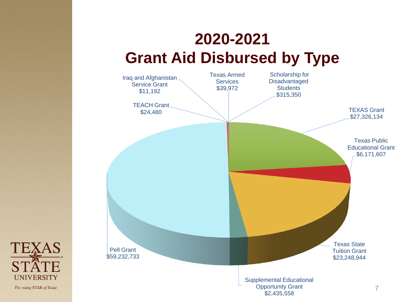# **2020-2021 Grant Aid Disbursed by Type**



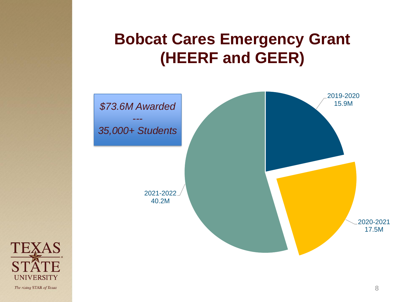**Bobcat Cares Emergency Grant (HEERF and GEER)**



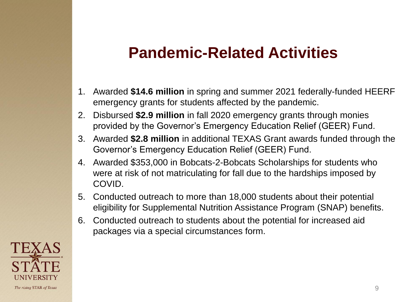# **Pandemic-Related Activities**

- 1. Awarded **\$14.6 million** in spring and summer 2021 federally-funded HEERF emergency grants for students affected by the pandemic.
- 2. Disbursed **\$2.9 million** in fall 2020 emergency grants through monies provided by the Governor's Emergency Education Relief (GEER) Fund.
- 3. Awarded **\$2.8 million** in additional TEXAS Grant awards funded through the Governor's Emergency Education Relief (GEER) Fund.
- 4. Awarded \$353,000 in Bobcats-2-Bobcats Scholarships for students who were at risk of not matriculating for fall due to the hardships imposed by COVID.
- 5. Conducted outreach to more than 18,000 students about their potential eligibility for Supplemental Nutrition Assistance Program (SNAP) benefits.
- 6. Conducted outreach to students about the potential for increased aid packages via a special circumstances form.

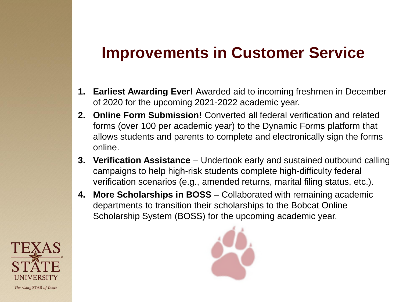### **Improvements in Customer Service**

- **1. Earliest Awarding Ever!** Awarded aid to incoming freshmen in December of 2020 for the upcoming 2021-2022 academic year.
- **2. Online Form Submission!** Converted all federal verification and related forms (over 100 per academic year) to the Dynamic Forms platform that allows students and parents to complete and electronically sign the forms online.
- **3. Verification Assistance**  Undertook early and sustained outbound calling campaigns to help high-risk students complete high-difficulty federal verification scenarios (e.g., amended returns, marital filing status, etc.).
- **4. More Scholarships in BOSS**  Collaborated with remaining academic departments to transition their scholarships to the Bobcat Online Scholarship System (BOSS) for the upcoming academic year.



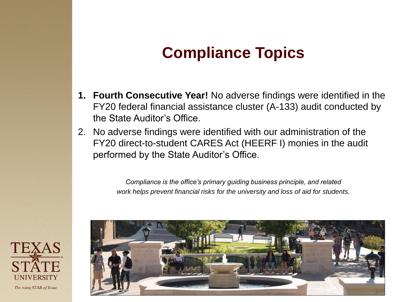# **Compliance Topics**

- **1. Fourth Consecutive Year!** No adverse findings were identified in the FY20 federal financial assistance cluster (A-133) audit conducted by the State Auditor's Office.
- 2. No adverse findings were identified with our administration of the FY20 direct-to-student CARES Act (HEERF I) monies in the audit performed by the State Auditor's Office.

*Compliance is the office's primary guiding business principle, and related work helps prevent financial risks for the university and loss of aid for students.*



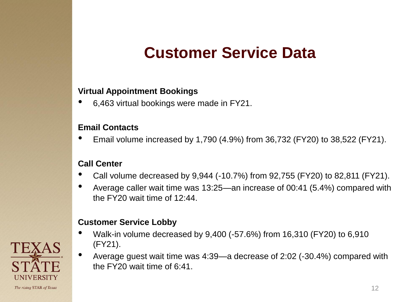# **Customer Service Data**

### **Virtual Appointment Bookings**

• 6,463 virtual bookings were made in FY21.

#### **Email Contacts**

• Email volume increased by 1,790 (4.9%) from 36,732 (FY20) to 38,522 (FY21).

#### **Call Center**

- Call volume decreased by 9,944 (-10.7%) from 92,755 (FY20) to 82,811 (FY21).
- Average caller wait time was 13:25—an increase of 00:41 (5.4%) compared with the FY20 wait time of 12:44.

### **Customer Service Lobby**

- Walk-in volume decreased by 9,400 (-57.6%) from 16,310 (FY20) to 6,910 (FY21).
- Average guest wait time was 4:39—a decrease of 2:02 (-30.4%) compared with the FY20 wait time of 6:41.